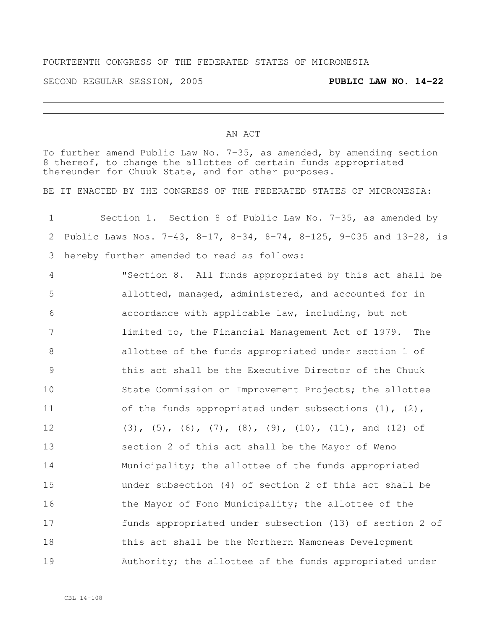## FOURTEENTH CONGRESS OF THE FEDERATED STATES OF MICRONESIA

SECOND REGULAR SESSION, 2005 **PUBLIC LAW NO. 14-22**

## AN ACT

To further amend Public Law No. 7-35, as amended, by amending section 8 thereof, to change the allottee of certain funds appropriated thereunder for Chuuk State, and for other purposes.

BE IT ENACTED BY THE CONGRESS OF THE FEDERATED STATES OF MICRONESIA:

| Section 1. Section 8 of Public Law No. 7-35, as amended by<br>$1 -$   |  |  |  |  |
|-----------------------------------------------------------------------|--|--|--|--|
| 2 Public Laws Nos. 7-43, 8-17, 8-34, 8-74, 8-125, 9-035 and 13-28, is |  |  |  |  |
| 3 hereby further amended to read as follows:                          |  |  |  |  |

 "Section 8. All funds appropriated by this act shall be allotted, managed, administered, and accounted for in accordance with applicable law, including, but not limited to, the Financial Management Act of 1979. The allottee of the funds appropriated under section 1 of this act shall be the Executive Director of the Chuuk State Commission on Improvement Projects; the allottee 11 of the funds appropriated under subsections (1), (2), 12 (3), (5), (6), (7), (8), (9), (10), (11), and (12) of section 2 of this act shall be the Mayor of Weno 14 Municipality; the allottee of the funds appropriated under subsection (4) of section 2 of this act shall be 16 the Mayor of Fono Municipality; the allottee of the funds appropriated under subsection (13) of section 2 of this act shall be the Northern Namoneas Development 19 Authority; the allottee of the funds appropriated under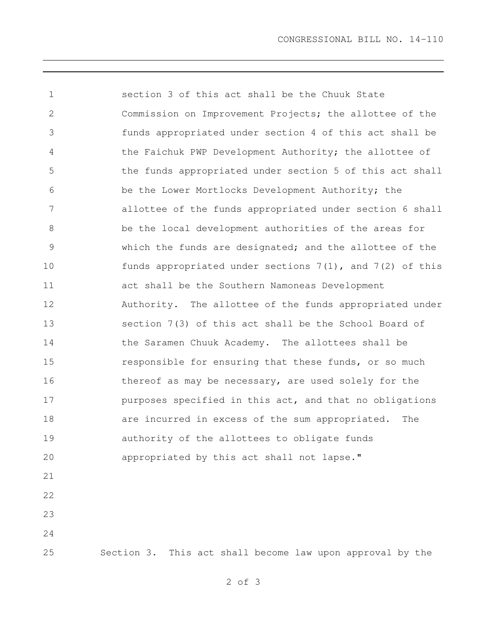CONGRESSIONAL BILL NO. 14-110

 section 3 of this act shall be the Chuuk State Commission on Improvement Projects; the allottee of the funds appropriated under section 4 of this act shall be the Faichuk PWP Development Authority; the allottee of the funds appropriated under section 5 of this act shall be the Lower Mortlocks Development Authority; the allottee of the funds appropriated under section 6 shall be the local development authorities of the areas for which the funds are designated; and the allottee of the funds appropriated under sections 7(1), and 7(2) of this act shall be the Southern Namoneas Development Authority. The allottee of the funds appropriated under section 7(3) of this act shall be the School Board of the Saramen Chuuk Academy. The allottees shall be **responsible for ensuring that these funds, or so much** 16 thereof as may be necessary, are used solely for the purposes specified in this act, and that no obligations **are incurred in excess of the sum appropriated.** The authority of the allottees to obligate funds appropriated by this act shall not lapse." 

Section 3. This act shall become law upon approval by the